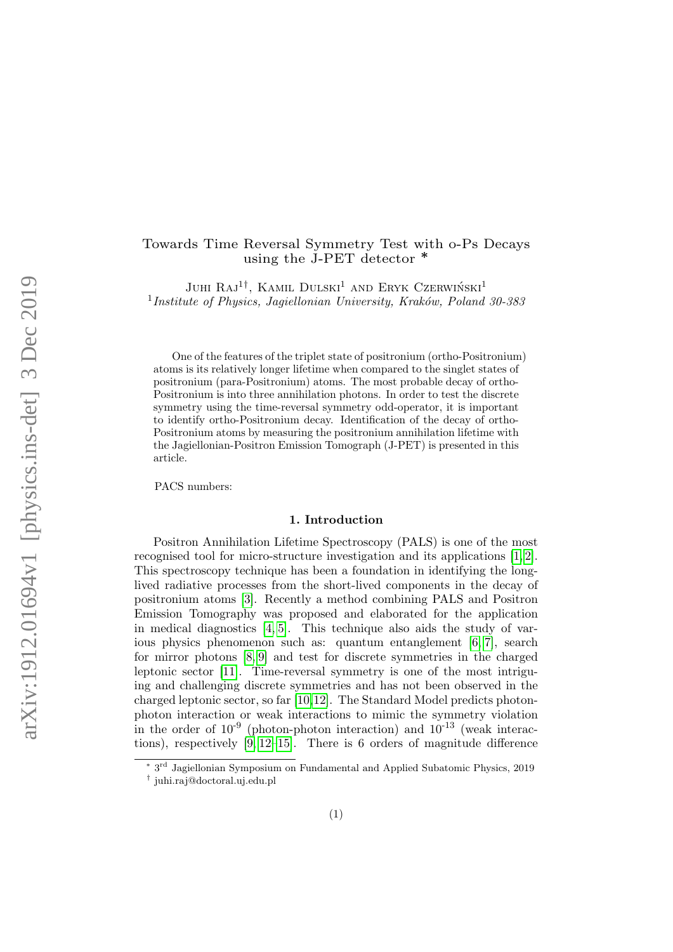# Towards Time Reversal Symmetry Test with o-Ps Decays using the J-PET detector ∗

JUHI  $RAJ^{1\dagger}$ , KAMIL DULSKI<sup>1</sup> AND ERYK CZERWIŃSKI<sup>1</sup>  $1$ Institute of Physics, Jagiellonian University, Kraków, Poland 30-385

One of the features of the triplet state of positronium (ortho-Positronium) atoms is its relatively longer lifetime when compared to the singlet states of positronium (para-Positronium) atoms. The most probable decay of ortho-Positronium is into three annihilation photons. In order to test the discrete symmetry using the time-reversal symmetry odd-operator, it is important to identify ortho-Positronium decay. Identification of the decay of ortho-Positronium atoms by measuring the positronium annihilation lifetime with the Jagiellonian-Positron Emission Tomograph (J-PET) is presented in this article.

PACS numbers:

#### 1. Introduction

Positron Annihilation Lifetime Spectroscopy (PALS) is one of the most recognised tool for micro-structure investigation and its applications [\[1,](#page-2-0) [2\]](#page-2-1). This spectroscopy technique has been a foundation in identifying the longlived radiative processes from the short-lived components in the decay of positronium atoms [\[3\]](#page-2-2). Recently a method combining PALS and Positron Emission Tomography was proposed and elaborated for the application in medical diagnostics [\[4,](#page-2-3) [5\]](#page-2-4). This technique also aids the study of various physics phenomenon such as: quantum entanglement [\[6,](#page-3-0) [7\]](#page-3-1), search for mirror photons [\[8,](#page-3-2) [9\]](#page-3-3) and test for discrete symmetries in the charged leptonic sector [\[11\]](#page-3-4). Time-reversal symmetry is one of the most intriguing and challenging discrete symmetries and has not been observed in the charged leptonic sector, so far [\[10,](#page-3-5)[12\]](#page-3-6). The Standard Model predicts photonphoton interaction or weak interactions to mimic the symmetry violation in the order of  $10^{-9}$  (photon-photon interaction) and  $10^{-13}$  (weak interactions), respectively [\[9,](#page-3-3) [12–](#page-3-6)[15\]](#page-3-7). There is 6 orders of magnitude difference

<sup>∗</sup> 3 rd Jagiellonian Symposium on Fundamental and Applied Subatomic Physics, 2019

<sup>†</sup> juhi.raj@doctoral.uj.edu.pl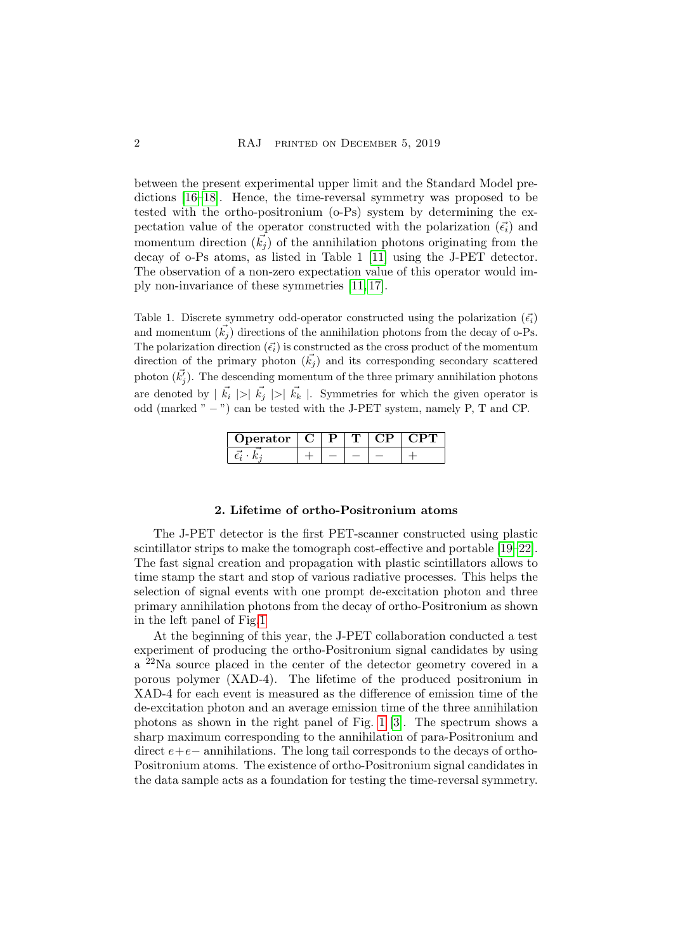between the present experimental upper limit and the Standard Model predictions [\[16–](#page-3-8)[18\]](#page-3-9). Hence, the time-reversal symmetry was proposed to be tested with the ortho-positronium (o-Ps) system by determining the expectation value of the operator constructed with the polarization  $(\vec{\epsilon_i})$  and momentum direction  $(\vec{k}_i)$  of the annihilation photons originating from the decay of o-Ps atoms, as listed in Table 1 [\[11\]](#page-3-4) using the J-PET detector. The observation of a non-zero expectation value of this operator would imply non-invariance of these symmetries [\[11,](#page-3-4) [17\]](#page-3-10).

Table 1. Discrete symmetry odd-operator constructed using the polarization  $(\vec{\epsilon_i})$ and momentum  $(\vec{k_i})$  directions of the annihilation photons from the decay of o-Ps. The polarization direction  $(\vec{\epsilon}_i)$  is constructed as the cross product of the momentum direction of the primary photon  $(\vec{k}_i)$  and its corresponding secondary scattered photon  $(\vec{k'_j})$ . The descending momentum of the three primary annihilation photons are denoted by  $|\vec{k_i}| > |\vec{k_j}|$  |>|  $|\vec{k_k}|$ . Symmetries for which the given operator is odd (marked " − ") can be tested with the J-PET system, namely P, T and CP.

| Operator |  |  |  |
|----------|--|--|--|
|          |  |  |  |

#### 2. Lifetime of ortho-Positronium atoms

The J-PET detector is the first PET-scanner constructed using plastic scintillator strips to make the tomograph cost-effective and portable [\[19–](#page-3-11)[22\]](#page-3-12). The fast signal creation and propagation with plastic scintillators allows to time stamp the start and stop of various radiative processes. This helps the selection of signal events with one prompt de-excitation photon and three primary annihilation photons from the decay of ortho-Positronium as shown in the left panel of Fig[.1](#page-2-5)

At the beginning of this year, the J-PET collaboration conducted a test experiment of producing the ortho-Positronium signal candidates by using a <sup>22</sup>Na source placed in the center of the detector geometry covered in a porous polymer (XAD-4). The lifetime of the produced positronium in XAD-4 for each event is measured as the difference of emission time of the de-excitation photon and an average emission time of the three annihilation photons as shown in the right panel of Fig. [1](#page-2-5) [\[3\]](#page-2-2). The spectrum shows a sharp maximum corresponding to the annihilation of para-Positronium and direct e+e− annihilations. The long tail corresponds to the decays of ortho-Positronium atoms. The existence of ortho-Positronium signal candidates in the data sample acts as a foundation for testing the time-reversal symmetry.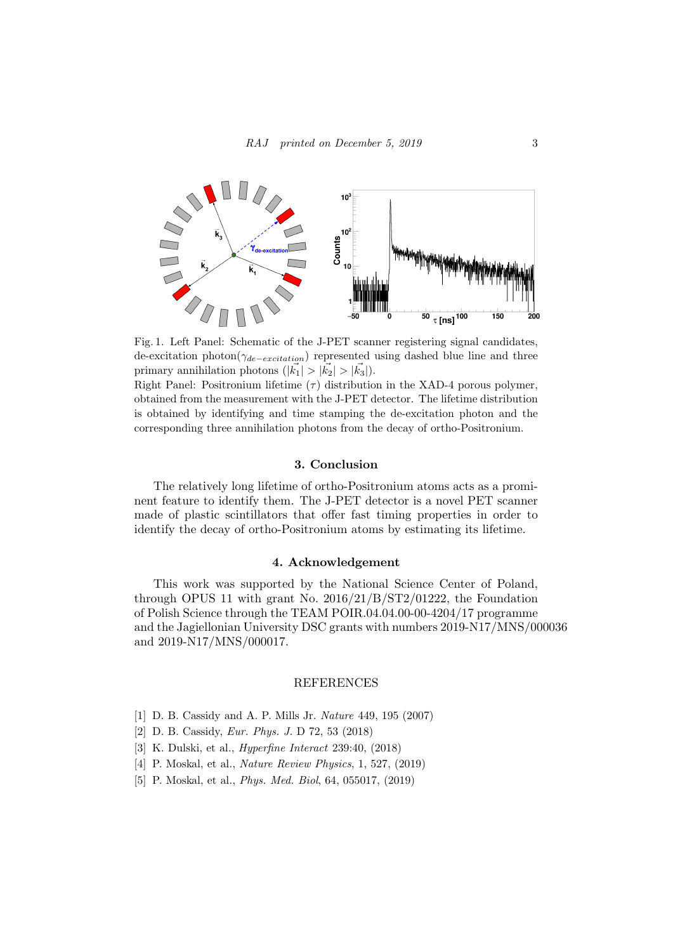

<span id="page-2-5"></span>Fig. 1. Left Panel: Schematic of the J-PET scanner registering signal candidates, de-excitation photon $(\gamma_{de-excitation})$  represented using dashed blue line and three primary annihilation photons  $(|\vec{k_1}| > |\vec{k_2}| > |\vec{k_3}|)$ .

Right Panel: Positronium lifetime  $(\tau)$  distribution in the XAD-4 porous polymer, obtained from the measurement with the J-PET detector. The lifetime distribution is obtained by identifying and time stamping the de-excitation photon and the corresponding three annihilation photons from the decay of ortho-Positronium.

## 3. Conclusion

The relatively long lifetime of ortho-Positronium atoms acts as a prominent feature to identify them. The J-PET detector is a novel PET scanner made of plastic scintillators that offer fast timing properties in order to identify the decay of ortho-Positronium atoms by estimating its lifetime.

## 4. Acknowledgement

This work was supported by the National Science Center of Poland, through OPUS 11 with grant No. 2016/21/B/ST2/01222, the Foundation of Polish Science through the TEAM POIR.04.04.00-00-4204/17 programme and the Jagiellonian University DSC grants with numbers 2019-N17/MNS/000036 and 2019-N17/MNS/000017.

### REFERENCES

- <span id="page-2-0"></span>[1] D. B. Cassidy and A. P. Mills Jr. Nature 449, 195 (2007)
- <span id="page-2-1"></span>[2] D. B. Cassidy, Eur. Phys. J. D 72, 53 (2018)
- <span id="page-2-2"></span>[3] K. Dulski, et al., Hyperfine Interact 239:40, (2018)
- <span id="page-2-3"></span>[4] P. Moskal, et al., Nature Review Physics, 1, 527, (2019)
- <span id="page-2-4"></span>[5] P. Moskal, et al., Phys. Med. Biol, 64, 055017, (2019)